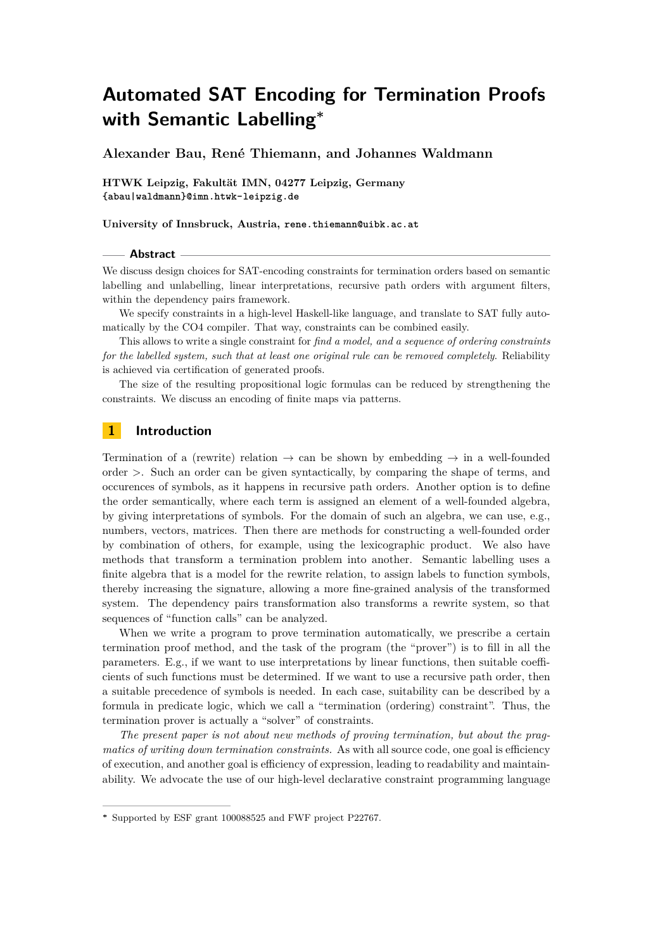# **Automated SAT Encoding for Termination Proofs with Semantic Labelling<sup>∗</sup>**

**Alexander Bau, René Thiemann, and Johannes Waldmann**

**HTWK Leipzig, Fakultät IMN, 04277 Leipzig, Germany <{abau|waldmann}@imn.htwk-leipzig.de>**

**University of Innsbruck, Austria, <rene.thiemann@uibk.ac.at>**

#### **Abstract**

We discuss design choices for SAT-encoding constraints for termination orders based on semantic labelling and unlabelling, linear interpretations, recursive path orders with argument filters, within the dependency pairs framework.

We specify constraints in a high-level Haskell-like language, and translate to SAT fully automatically by the CO4 compiler. That way, constraints can be combined easily.

This allows to write a single constraint for *find a model, and a sequence of ordering constraints for the labelled system, such that at least one original rule can be removed completely*. Reliability is achieved via certification of generated proofs.

The size of the resulting propositional logic formulas can be reduced by strengthening the constraints. We discuss an encoding of finite maps via patterns.

# **1 Introduction**

Termination of a (rewrite) relation  $\rightarrow$  can be shown by embedding  $\rightarrow$  in a well-founded order *>*. Such an order can be given syntactically, by comparing the shape of terms, and occurences of symbols, as it happens in recursive path orders. Another option is to define the order semantically, where each term is assigned an element of a well-founded algebra, by giving interpretations of symbols. For the domain of such an algebra, we can use, e.g., numbers, vectors, matrices. Then there are methods for constructing a well-founded order by combination of others, for example, using the lexicographic product. We also have methods that transform a termination problem into another. Semantic labelling uses a finite algebra that is a model for the rewrite relation, to assign labels to function symbols, thereby increasing the signature, allowing a more fine-grained analysis of the transformed system. The dependency pairs transformation also transforms a rewrite system, so that sequences of "function calls" can be analyzed.

When we write a program to prove termination automatically, we prescribe a certain termination proof method, and the task of the program (the "prover") is to fill in all the parameters. E.g., if we want to use interpretations by linear functions, then suitable coefficients of such functions must be determined. If we want to use a recursive path order, then a suitable precedence of symbols is needed. In each case, suitability can be described by a formula in predicate logic, which we call a "termination (ordering) constraint". Thus, the termination prover is actually a "solver" of constraints.

*The present paper is not about new methods of proving termination, but about the pragmatics of writing down termination constraints.* As with all source code, one goal is efficiency of execution, and another goal is efficiency of expression, leading to readability and maintainability. We advocate the use of our high-level declarative constraint programming language

**<sup>∗</sup>** Supported by ESF grant 100088525 and FWF project P22767.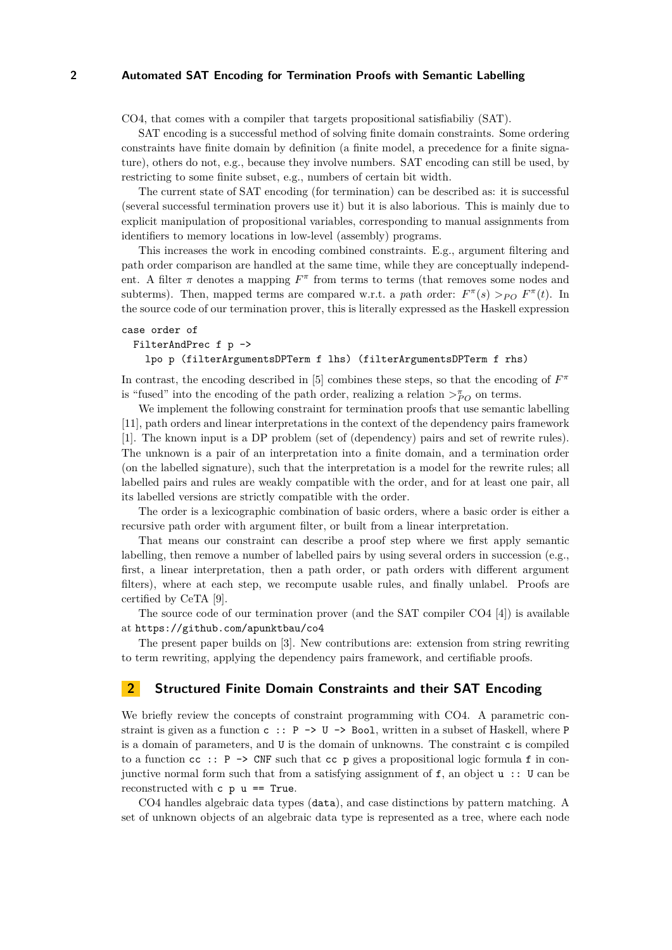### **2 Automated SAT Encoding for Termination Proofs with Semantic Labelling**

CO4, that comes with a compiler that targets propositional satisfiabiliy (SAT).

SAT encoding is a successful method of solving finite domain constraints. Some ordering constraints have finite domain by definition (a finite model, a precedence for a finite signature), others do not, e.g., because they involve numbers. SAT encoding can still be used, by restricting to some finite subset, e.g., numbers of certain bit width.

The current state of SAT encoding (for termination) can be described as: it is successful (several successful termination provers use it) but it is also laborious. This is mainly due to explicit manipulation of propositional variables, corresponding to manual assignments from identifiers to memory locations in low-level (assembly) programs.

This increases the work in encoding combined constraints. E.g., argument filtering and path order comparison are handled at the same time, while they are conceptually independent. A filter  $\pi$  denotes a mapping  $F^{\pi}$  from terms to terms (that removes some nodes and subterms). Then, mapped terms are compared w.r.t. a *path order:*  $F^{\pi}(s) >_{PO} F^{\pi}(t)$ . In the source code of our termination prover, this is literally expressed as the Haskell expression

```
case order of
 FilterAndPrec f p ->
```

```
lpo p (filterArgumentsDPTerm f lhs) (filterArgumentsDPTerm f rhs)
```
In contrast, the encoding described in [\[5\]](#page-4-0) combines these steps, so that the encoding of *F π* is "fused" into the encoding of the path order, realizing a relation  $\gt_{PO}^{\pi}$  on terms.

We implement the following constraint for termination proofs that use semantic labelling [\[11\]](#page-4-1), path orders and linear interpretations in the context of the dependency pairs framework [\[1\]](#page-4-2). The known input is a DP problem (set of (dependency) pairs and set of rewrite rules). The unknown is a pair of an interpretation into a finite domain, and a termination order (on the labelled signature), such that the interpretation is a model for the rewrite rules; all labelled pairs and rules are weakly compatible with the order, and for at least one pair, all its labelled versions are strictly compatible with the order.

The order is a lexicographic combination of basic orders, where a basic order is either a recursive path order with argument filter, or built from a linear interpretation.

That means our constraint can describe a proof step where we first apply semantic labelling, then remove a number of labelled pairs by using several orders in succession (e.g., first, a linear interpretation, then a path order, or path orders with different argument filters), where at each step, we recompute usable rules, and finally unlabel. Proofs are certified by CeTA [\[9\]](#page-4-3).

The source code of our termination prover (and the SAT compiler CO4 [\[4\]](#page-4-4)) is available at <https://github.com/apunktbau/co4>

The present paper builds on [\[3\]](#page-4-5). New contributions are: extension from string rewriting to term rewriting, applying the dependency pairs framework, and certifiable proofs.

# **2 Structured Finite Domain Constraints and their SAT Encoding**

We briefly review the concepts of constraint programming with CO4. A parametric constraint is given as a function  $c : P \rightarrow U \rightarrow$  Bool, written in a subset of Haskell, where P is a domain of parameters, and U is the domain of unknowns. The constraint c is compiled to a function  $cc$ : P  $\rightarrow$  CNF such that  $cc$  p gives a propositional logic formula f in conjunctive normal form such that from a satisfying assignment of  $f$ , an object  $u$  :: U can be reconstructed with  $c$   $p$   $u$  == True.

CO4 handles algebraic data types (data), and case distinctions by pattern matching. A set of unknown objects of an algebraic data type is represented as a tree, where each node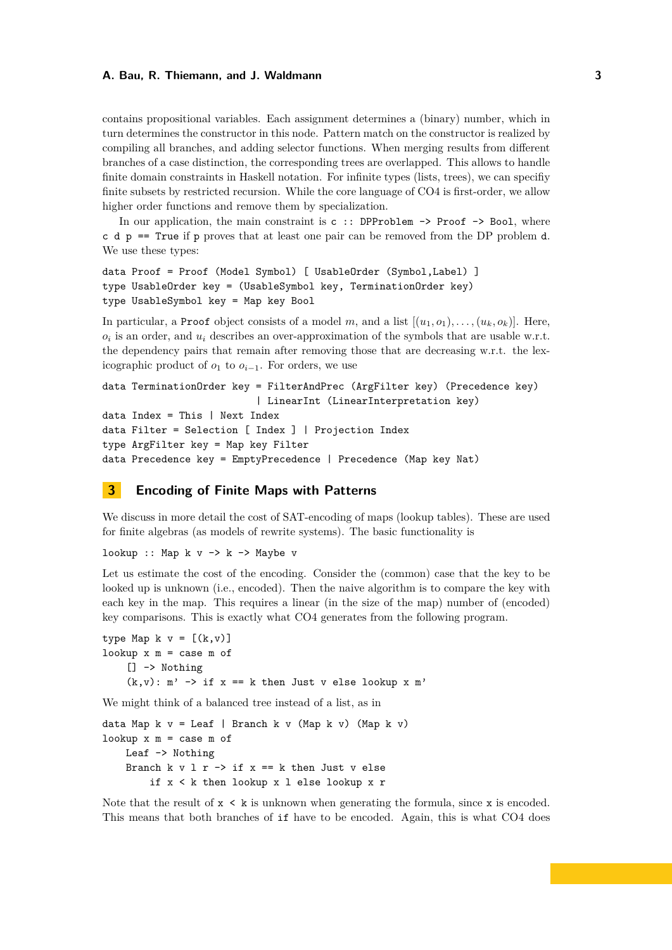### **A. Bau, R. Thiemann, and J. Waldmann 3**

contains propositional variables. Each assignment determines a (binary) number, which in turn determines the constructor in this node. Pattern match on the constructor is realized by compiling all branches, and adding selector functions. When merging results from different branches of a case distinction, the corresponding trees are overlapped. This allows to handle finite domain constraints in Haskell notation. For infinite types (lists, trees), we can specifiy finite subsets by restricted recursion. While the core language of CO4 is first-order, we allow higher order functions and remove them by specialization.

In our application, the main constraint is  $c$  :: DPProblem  $\rightarrow$  Proof  $\rightarrow$  Bool, where c d p == True if p proves that at least one pair can be removed from the DP problem d. We use these types:

```
data Proof = Proof (Model Symbol) [ UsableOrder (Symbol, Label) ]
type UsableOrder key = (UsableSymbol key, TerminationOrder key)
type UsableSymbol key = Map key Bool
```
In particular, a Proof object consists of a model m, and a list  $[(u_1, o_1), \ldots, (u_k, o_k)]$ . Here,  $o_i$  is an order, and  $u_i$  describes an over-approximation of the symbols that are usable w.r.t. the dependency pairs that remain after removing those that are decreasing w.r.t. the lexicographic product of  $o_1$  to  $o_{i-1}$ . For orders, we use

```
data TerminationOrder key = FilterAndPrec (ArgFilter key) (Precedence key)
                          | LinearInt (LinearInterpretation key)
data Index = This | Next Indexdata Filter = Selection [ Index ] | Projection Index
type ArgFilter key = Map key Filter
data Precedence key = EmptyPrecedence | Precedence (Map key Nat)
```
# **3 Encoding of Finite Maps with Patterns**

We discuss in more detail the cost of SAT-encoding of maps (lookup tables). These are used for finite algebras (as models of rewrite systems). The basic functionality is

lookup :: Map  $k$  v  $\rightarrow$   $k$   $\rightarrow$  Maybe v

Let us estimate the cost of the encoding. Consider the (common) case that the key to be looked up is unknown (i.e., encoded). Then the naive algorithm is to compare the key with each key in the map. This requires a linear (in the size of the map) number of (encoded) key comparisons. This is exactly what CO4 generates from the following program.

type Map  $k \ v = [(k, v)]$ lookup  $x$   $m =$  case  $m$  of [] -> Nothing  $(k, v)$ : m'  $\rightarrow$  if x == k then Just v else lookup x m'

We might think of a balanced tree instead of a list, as in

data Map  $k$  v = Leaf | Branch  $k$  v (Map  $k$  v) (Map  $k$  v) lookup  $x$   $m$  = case  $m$  of Leaf -> Nothing Branch k v l r  $\rightarrow$  if x == k then Just v else if x < k then lookup x l else lookup x r

Note that the result of  $x \leq k$  is unknown when generating the formula, since x is encoded. This means that both branches of if have to be encoded. Again, this is what CO4 does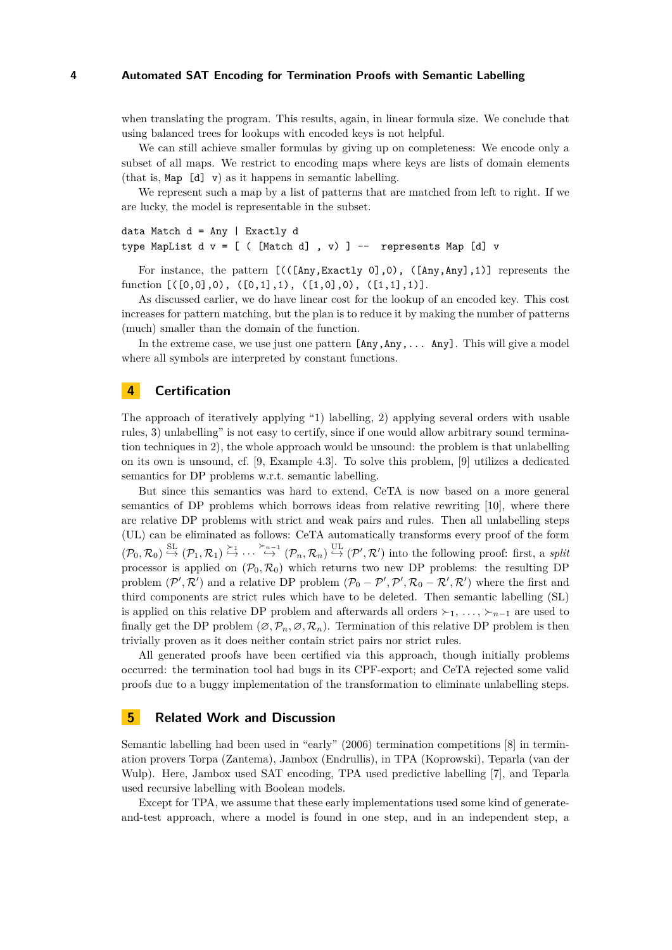#### **4 Automated SAT Encoding for Termination Proofs with Semantic Labelling**

when translating the program. This results, again, in linear formula size. We conclude that using balanced trees for lookups with encoded keys is not helpful.

We can still achieve smaller formulas by giving up on completeness: We encode only a subset of all maps. We restrict to encoding maps where keys are lists of domain elements (that is, Map [d] v) as it happens in semantic labelling.

We represent such a map by a list of patterns that are matched from left to right. If we are lucky, the model is representable in the subset.

```
data Match d = Any | Exactly d
type MapList d v = [ ( [Match d], v) ] -- represents Map [d] v
```
For instance, the pattern [(([Any,Exactly 0],0), ([Any,Any],1)] represents the function  $[([0,0],0), ([0,1],1), ([1,0],0), ([1,1],1)].$ 

As discussed earlier, we do have linear cost for the lookup of an encoded key. This cost increases for pattern matching, but the plan is to reduce it by making the number of patterns (much) smaller than the domain of the function.

In the extreme case, we use just one pattern  $[Any, Any, \ldots Any]$ . This will give a model where all symbols are interpreted by constant functions.

# **4 Certification**

The approach of iteratively applying "1) labelling, 2) applying several orders with usable rules, 3) unlabelling" is not easy to certify, since if one would allow arbitrary sound termination techniques in 2), the whole approach would be unsound: the problem is that unlabelling on its own is unsound, cf. [\[9,](#page-4-3) Example 4.3]. To solve this problem, [\[9\]](#page-4-3) utilizes a dedicated semantics for DP problems w.r.t. semantic labelling.

But since this semantics was hard to extend, CeTA is now based on a more general semantics of DP problems which borrows ideas from relative rewriting [\[10\]](#page-4-6), where there are relative DP problems with strict and weak pairs and rules. Then all unlabelling steps (UL) can be eliminated as follows: CeTA automatically transforms every proof of the form  $(\mathcal{P}_0, \mathcal{R}_0) \stackrel{\text{SL}}{\hookrightarrow} (\mathcal{P}_1, \mathcal{R}_1) \stackrel{\succ_1}{\hookrightarrow} \cdots \stackrel{\succ_{n-1}}{\hookrightarrow} (\mathcal{P}_n, \mathcal{R}_n) \stackrel{\text{UL}}{\hookrightarrow} (\mathcal{P}', \mathcal{R}')$  into the following proof: first, a *split* processor is applied on  $(\mathcal{P}_0, \mathcal{R}_0)$  which returns two new DP problems: the resulting DP problem  $(\mathcal{P}', \mathcal{R}')$  and a relative DP problem  $(\mathcal{P}_0 - \mathcal{P}', \mathcal{P}', \mathcal{R}_0 - \mathcal{R}', \mathcal{R}')$  where the first and third components are strict rules which have to be deleted. Then semantic labelling (SL) is applied on this relative DP problem and afterwards all orders  $\succ_1, \ldots, \succ_{n-1}$  are used to finally get the DP problem  $(\emptyset, \mathcal{P}_n, \emptyset, \mathcal{R}_n)$ . Termination of this relative DP problem is then trivially proven as it does neither contain strict pairs nor strict rules.

All generated proofs have been certified via this approach, though initially problems occurred: the termination tool had bugs in its CPF-export; and CeTA rejected some valid proofs due to a buggy implementation of the transformation to eliminate unlabelling steps.

## **5 Related Work and Discussion**

Semantic labelling had been used in "early" (2006) termination competitions [\[8\]](#page-4-7) in termination provers Torpa (Zantema), Jambox (Endrullis), in TPA (Koprowski), Teparla (van der Wulp). Here, Jambox used SAT encoding, TPA used predictive labelling [\[7\]](#page-4-8), and Teparla used recursive labelling with Boolean models.

Except for TPA, we assume that these early implementations used some kind of generateand-test approach, where a model is found in one step, and in an independent step, a